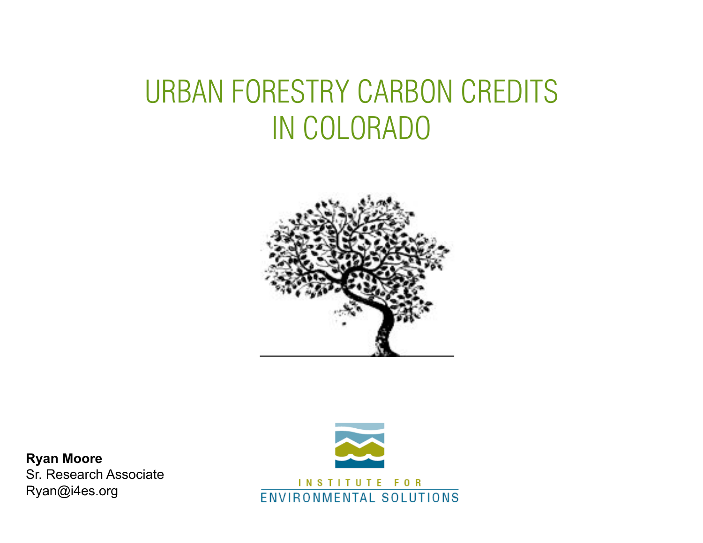### URBAN FORESTRY CARBON CREDITS IN COLORADO



**Ryan Moore**  Sr. Research Associate Ryan@i4es.org

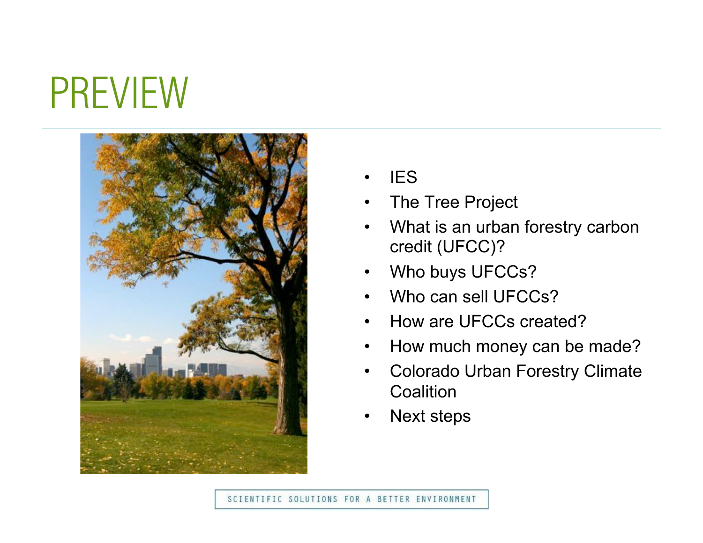## PREVIEW



- **IES**
- The Tree Project
- What is an urban forestry carbon credit (UFCC)?
- Who buys UFCCs?
- Who can sell UFCCs?
- How are UFCCs created?
- How much money can be made?
- Colorado Urban Forestry Climate **Coalition**
- Next steps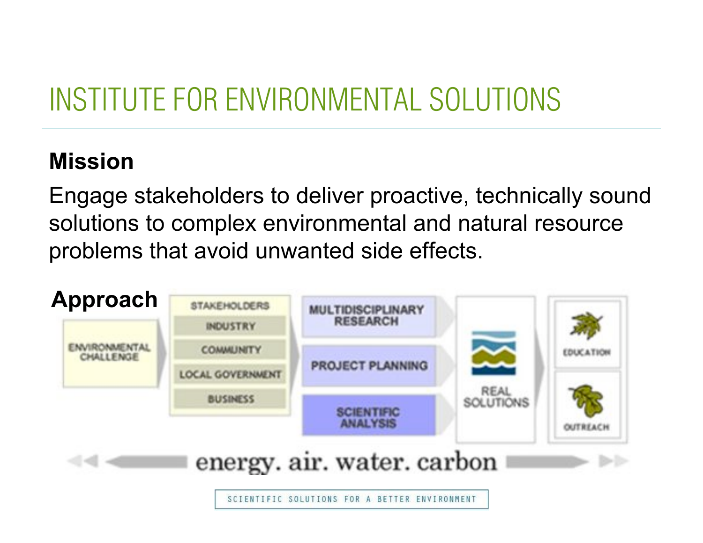### INSTITUTE FOR ENVIRONMENTAL SOLUTIONS

### **Mission**

Engage stakeholders to deliver proactive, technically sound solutions to complex environmental and natural resource problems that avoid unwanted side effects.

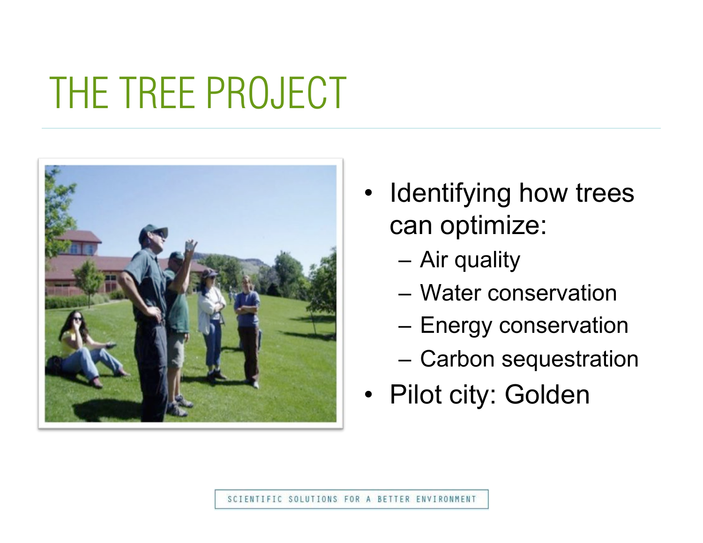## THE TREE PROJECT



- Identifying how trees can optimize:
	- Air quality
	- Water conservation
	- Energy conservation
	- Carbon sequestration
- Pilot city: Golden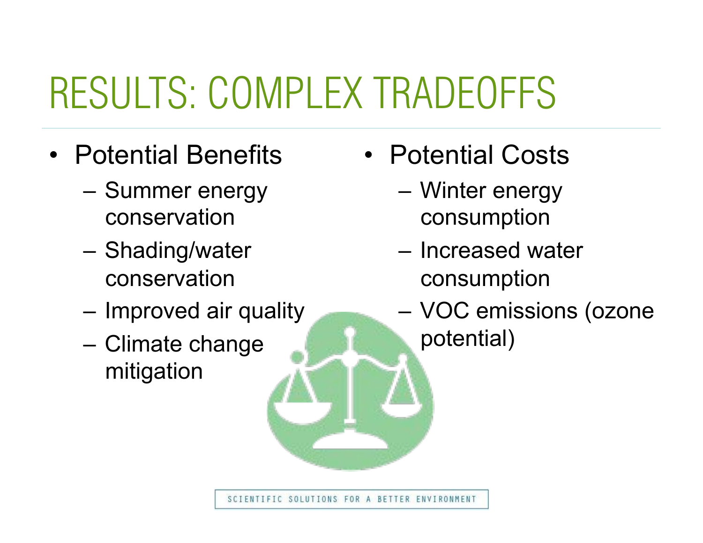## RESULTS: COMPLEX TRADEOFFS

- Potential Benefits
	- Summer energy conservation
	- Shading/water conservation
	- Improved air quality
	- Climate change mitigation
- Potential Costs
	- Winter energy consumption
	- Increased water consumption
	- VOC emissions (ozone potential)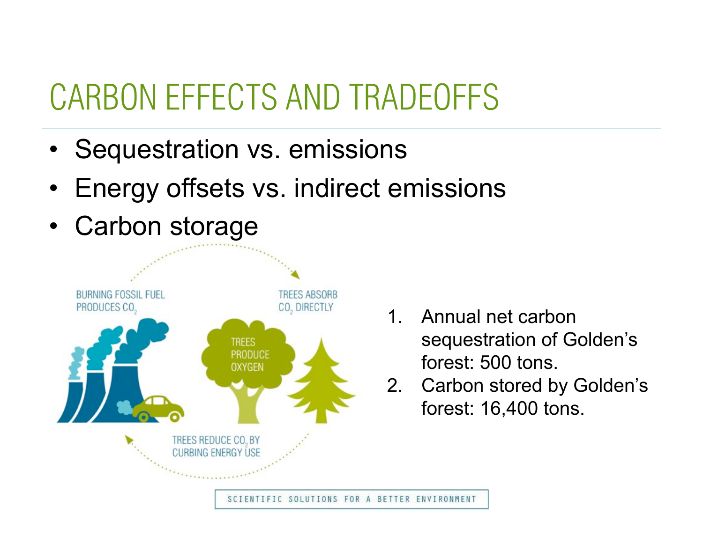### CARBON EFFECTS AND TRADEOFFS

- Sequestration vs. emissions
- Energy offsets vs. indirect emissions



- 1. Annual net carbon sequestration of Golden's forest: 500 tons.
- 2. Carbon stored by Golden's forest: 16,400 tons.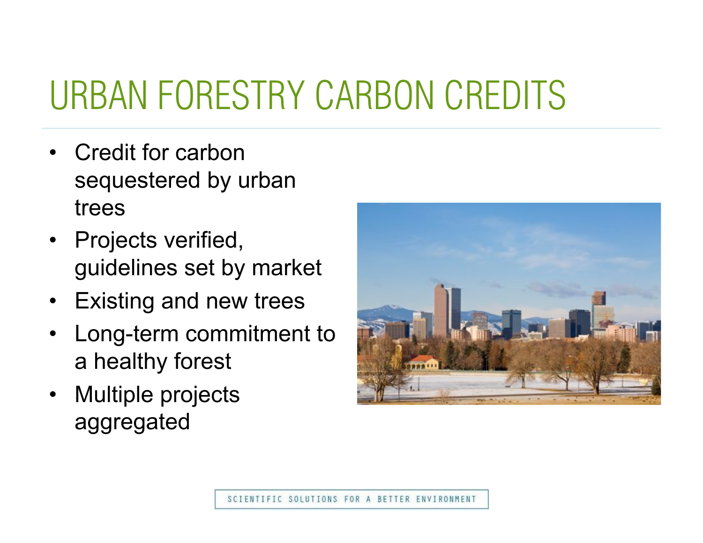### URBAN FORESTRY CARBON CREDITS

- Credit for carbon sequestered by urban trees
- Projects verified, guidelines set by market
- Existing and new trees
- Long-term commitment to a healthy forest
- Multiple projects aggregated

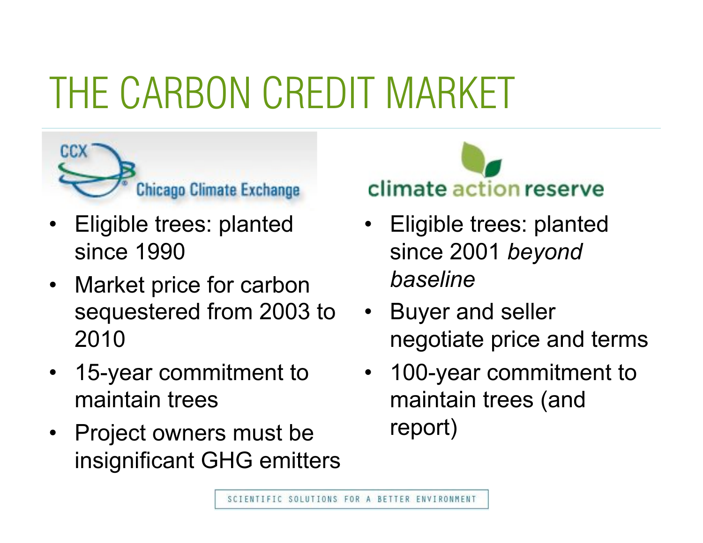# THE CARBON CREDIT MARKET



- Eligible trees: planted since 1990
- Market price for carbon sequestered from 2003 to 2010
- 15-year commitment to maintain trees
- Project owners must be insignificant GHG emitters

climate action reserve

- Eligible trees: planted since 2001 *beyond baseline*
- Buyer and seller negotiate price and terms
- 100-year commitment to maintain trees (and report)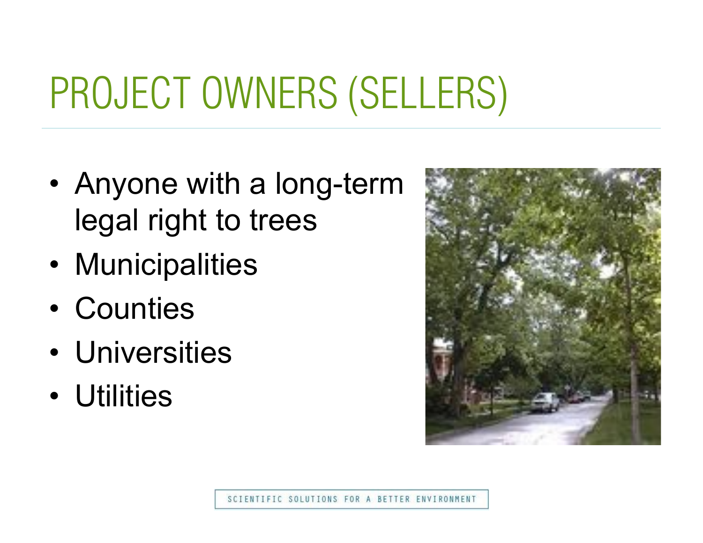# PROJECT OWNERS (SELLERS)

- Anyone with a long-term legal right to trees
- Municipalities
- Counties
- Universities
- Utilities

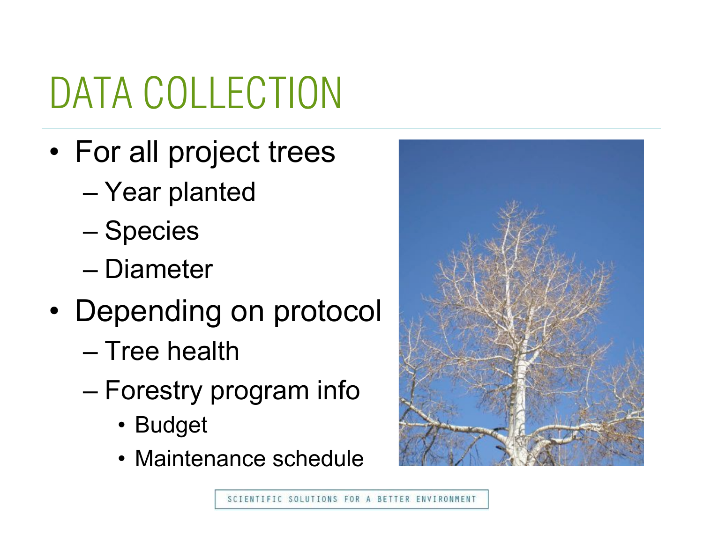# DATA COLLECTION

- For all project trees
	- Year planted
	- Species
	- Diameter
- Depending on protocol
	- Tree health
	- Forestry program info
		- Budget
		- Maintenance schedule

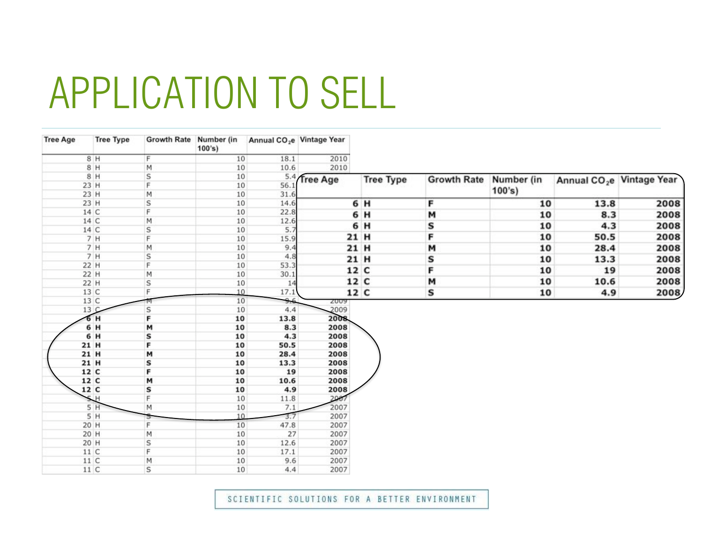### APPLICATION TO SELL

| <b>Tree Age</b> | <b>Tree Type</b> | Growth Rate Number (in | 100's |      | Annual CO <sub>2</sub> e Vintage Year |                  |                    |            |      |                                       |
|-----------------|------------------|------------------------|-------|------|---------------------------------------|------------------|--------------------|------------|------|---------------------------------------|
|                 | 8 H              | F                      | 10    | 18.1 | 2010                                  |                  |                    |            |      |                                       |
|                 | 8 H              | M                      | 10    | 10.6 | 2010                                  |                  |                    |            |      |                                       |
|                 | 8 H              | S                      | 10    |      | 5.4 Tree Age                          | <b>Tree Type</b> | <b>Growth Rate</b> | Number (in |      | Annual CO <sub>2</sub> e Vintage Year |
|                 | 23 H             | F                      | 10    | 56.1 |                                       |                  |                    |            |      |                                       |
|                 | 23 H             | M                      | 10    | 31.6 |                                       |                  |                    | 100's)     |      |                                       |
|                 | 23 H             | S                      | 10    | 14.6 |                                       | 6 H              | F                  | 10         | 13.8 | 2008                                  |
|                 | 14 C             | F                      | 10    | 22.8 |                                       | 6 H              | м                  | 10         | 8.3  | 2008                                  |
|                 | 14 C             | M                      | 10    | 12.6 |                                       | 6 H              |                    |            | 4.3  |                                       |
|                 | 14 C             | S                      | 10    | 5.7  |                                       |                  | S                  | 10         |      | 2008                                  |
|                 | 7H               | F                      | 10    | 15.9 |                                       | 21 H             | F                  | 10         | 50.5 | 2008                                  |
|                 | 7H               | M                      | 10    | 9,4  |                                       | 21 H             | м                  | 10         | 28.4 | 2008                                  |
|                 | 7H               | S                      | 10    | 4.8  |                                       | 21 H             | s                  | 10         | 13.3 | 2008                                  |
|                 | 22 H             | F                      | 10    | 53.3 |                                       | 12 C             | F                  | 10         | 19   |                                       |
|                 | 22 H             | Μ                      | 10    | 30.1 |                                       |                  |                    |            |      | 2008                                  |
|                 | 22 H             | S                      | 10    | 14   |                                       | 12 C             | M                  | 10         | 10.6 | 2008                                  |
|                 | 13 C             | F                      | 10    | 17.1 |                                       | 12 C             | S                  | 10         | 4.9  | 2008                                  |
|                 | 13 C             | М                      | 10    | 9.6  | <b>SOOA</b>                           |                  |                    |            |      |                                       |
|                 | 13C              | S                      | 10    | 4.4  | 2009                                  |                  |                    |            |      |                                       |
|                 | 6H               | F                      | 10    | 13.8 | 2008                                  |                  |                    |            |      |                                       |
|                 | 6 H              | м                      | 10    | 8.3  | 2008                                  |                  |                    |            |      |                                       |
|                 | 6 H              | s                      | 10    | 4.3  | 2008                                  |                  |                    |            |      |                                       |
|                 | 21 H             | F                      | 10    | 50.5 | 2008                                  |                  |                    |            |      |                                       |
|                 | 21 H             | м                      | 10    | 28.4 | 2008                                  |                  |                    |            |      |                                       |
|                 | 21 H             | S                      | 10    | 13.3 | 2008                                  |                  |                    |            |      |                                       |
|                 | 12 C             | F                      | 10    | 19   | 2008                                  |                  |                    |            |      |                                       |
|                 | 12 C             | M                      | 10    | 10.6 | 2008                                  |                  |                    |            |      |                                       |
|                 | 12 C             | s                      | 10    | 4.9  | 2008                                  |                  |                    |            |      |                                       |
|                 | 5H               | F                      | 10    | 11.8 | 2007                                  |                  |                    |            |      |                                       |
|                 | 5H               | м                      | $10$  | 7.1  | 2007                                  |                  |                    |            |      |                                       |
|                 | 5H               |                        | 10    | 3.7  | 2007                                  |                  |                    |            |      |                                       |
|                 | 20 H             | F                      | 10    | 47.8 | 2007                                  |                  |                    |            |      |                                       |
|                 | 20 H             | М                      | 10    | 27   | 2007                                  |                  |                    |            |      |                                       |
|                 | 20 H             | S                      | 10    | 12.6 | 2007                                  |                  |                    |            |      |                                       |
|                 | 11 C             | F                      | 10    | 17.1 | 2007                                  |                  |                    |            |      |                                       |
|                 | 11 C             | М                      | 10    | 9.6  | 2007                                  |                  |                    |            |      |                                       |
|                 | 11 C             | S                      | 10    | 4.4  | 2007                                  |                  |                    |            |      |                                       |

SCIENTIFIC SOLUTIONS FOR A BETTER ENVIRONMENT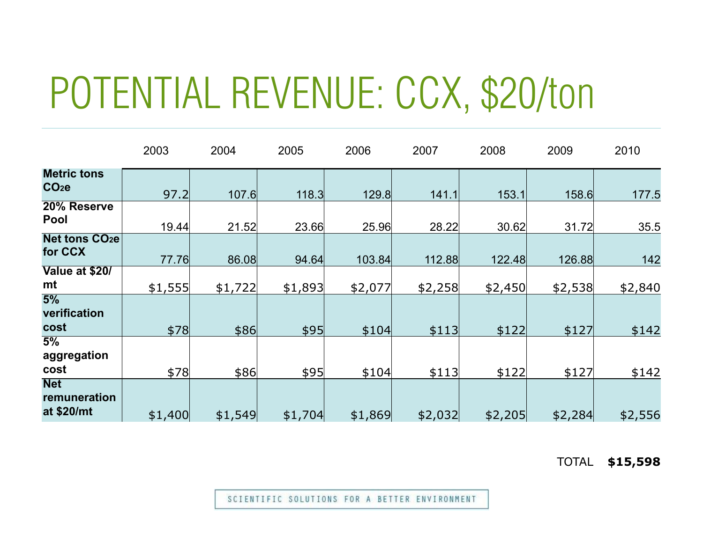## POTENTIAL REVENUE: CCX, \$20/ton

|                                            | 2003    | 2004    | 2005    | 2006    | 2007    | 2008    | 2009    | 2010    |
|--------------------------------------------|---------|---------|---------|---------|---------|---------|---------|---------|
| <b>Metric tons</b><br>CO <sub>2</sub>      | 97.2    | 107.6   | 118.3   | 129.8   | 141.1   | 153.1   | 158.6   | 177.5   |
| 20% Reserve<br>Pool                        | 19.44   | 21.52   | 23.66   | 25.96   | 28.22   | 30.62   | 31.72   | 35.5    |
| <b>Net tons CO<sub>2</sub>e</b><br>for CCX | 77.76   | 86.08   | 94.64   | 103.84  | 112.88  | 122.48  | 126.88  | 142     |
| Value at \$20/<br>mt                       | \$1,555 | \$1,722 | \$1,893 | \$2,077 | \$2,258 | \$2,450 | \$2,538 | \$2,840 |
| 5%<br>verification<br>cost                 | \$78    | \$86    | \$95    | \$104   | \$113   | \$122   | \$127   | \$142   |
| 5%<br>aggregation                          |         |         |         |         |         |         |         |         |
| cost<br><b>Net</b><br>remuneration         | \$78    | \$86    | \$95    | \$104   | \$113   | \$122   | \$127   | \$142   |
| at \$20/mt                                 | \$1,400 | \$1,549 | \$1,704 | \$1,869 | \$2,032 | \$2,205 | \$2,284 | \$2,556 |

TOTAL **\$15,598** 

SCIENTIFIC SOLUTIONS FOR A BETTER ENVIRONMENT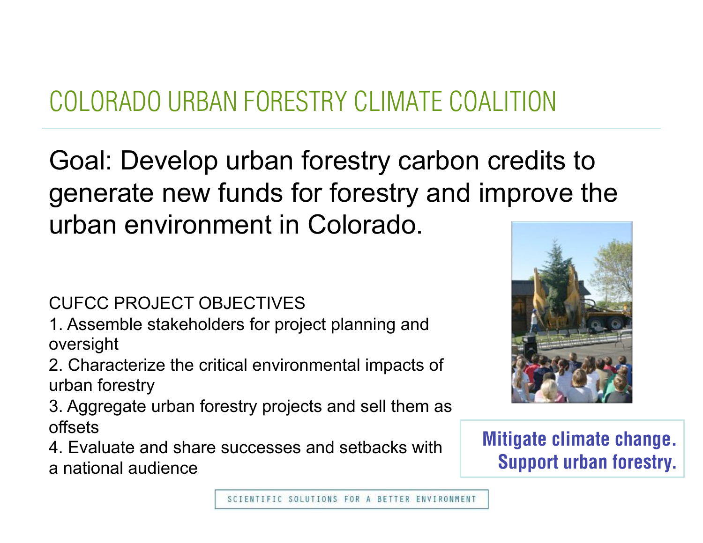### COLORADO URBAN FORESTRY CLIMATE COALITION

Goal: Develop urban forestry carbon credits to generate new funds for forestry and improve the urban environment in Colorado.

CUFCC PROJECT OBJECTIVES

1. Assemble stakeholders for project planning and oversight

2. Characterize the critical environmental impacts of urban forestry

3. Aggregate urban forestry projects and sell them as offsets

4. Evaluate and share successes and setbacks with a national audience



**Mitigate climate change. Support urban forestry.**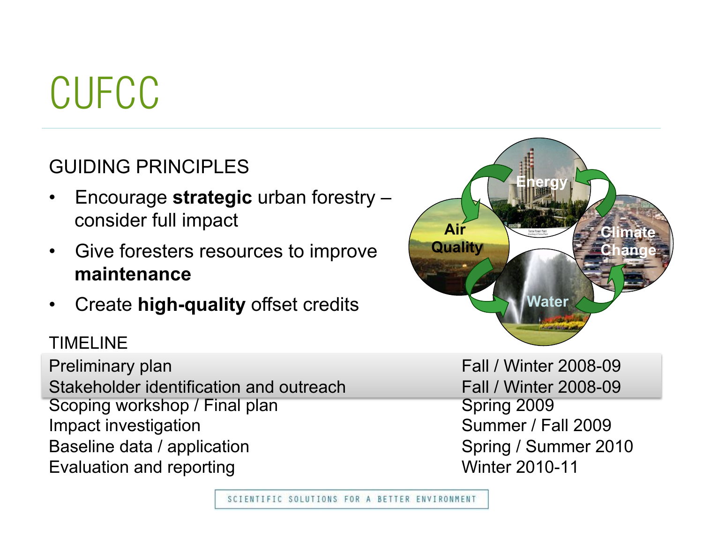## CUFCC

### GUIDING PRINCIPLES

- Encourage **strategic** urban forestry consider full impact
- Give foresters resources to improve **maintenance**
- Create **high-quality** offset credits

#### TIMELINE

Scoping workshop / Final plan Scoping 2009 Impact investigation **Summer / Fall 2009** Baseline data / application Spring / Summer 2010 Evaluation and reporting The Contract Contract Contract Minter 2010-11 Preliminary plan Fall / Winter 2008-09 Stakeholder identification and outreach Fall / Winter 2008-09

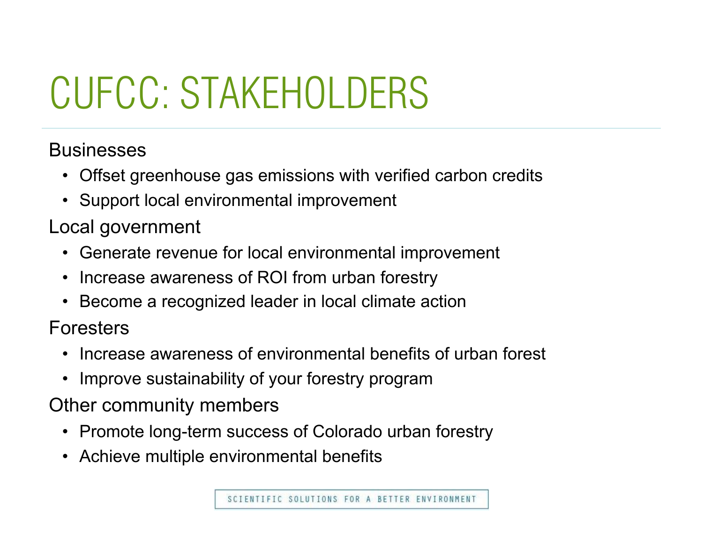# CUFCC: STAKEHOLDERS

### **Businesses**

- Offset greenhouse gas emissions with verified carbon credits
- Support local environmental improvement

### Local government

- Generate revenue for local environmental improvement
- Increase awareness of ROI from urban forestry
- Become a recognized leader in local climate action

Foresters

- Increase awareness of environmental benefits of urban forest
- Improve sustainability of your forestry program

Other community members

- Promote long-term success of Colorado urban forestry
- Achieve multiple environmental benefits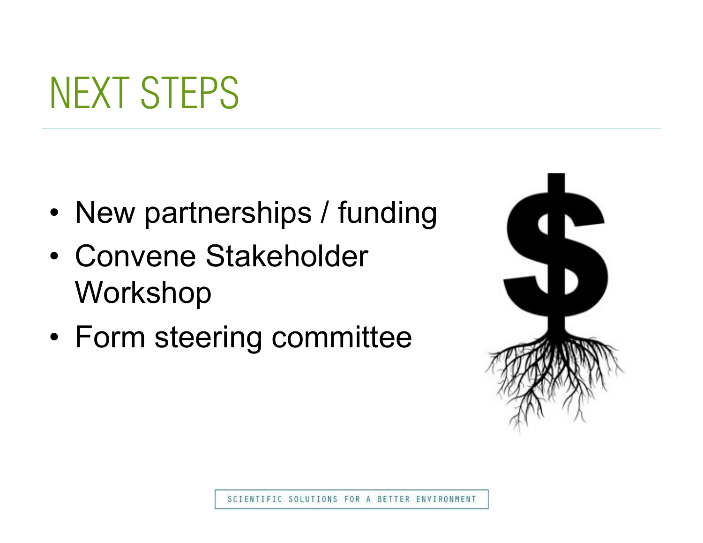### NEXT STEPS

- New partnerships / funding
- Convene Stakeholder Workshop
- Form steering committee

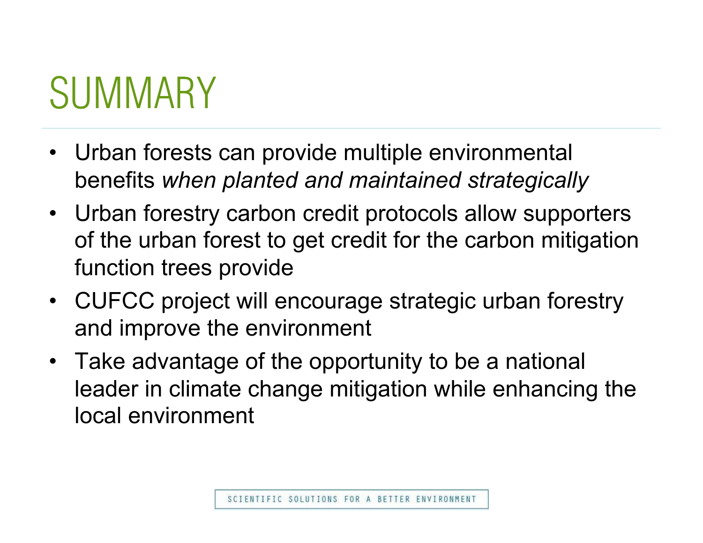## **SUMMARY**

- Urban forests can provide multiple environmental benefits *when planted and maintained strategically*
- Urban forestry carbon credit protocols allow supporters of the urban forest to get credit for the carbon mitigation function trees provide
- CUFCC project will encourage strategic urban forestry and improve the environment
- Take advantage of the opportunity to be a national leader in climate change mitigation while enhancing the local environment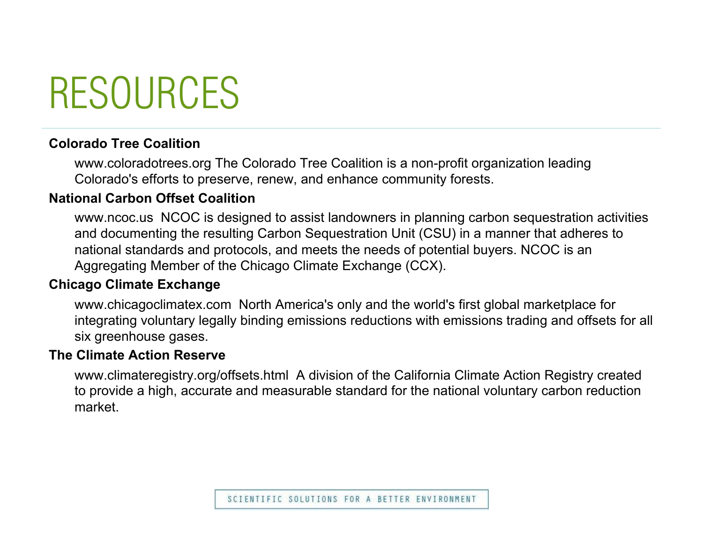### RESOURCES

#### **Colorado Tree Coalition**

www.coloradotrees.org The Colorado Tree Coalition is a non-profit organization leading Colorado's efforts to preserve, renew, and enhance community forests.

#### **National Carbon Offset Coalition**

www.ncoc.us NCOC is designed to assist landowners in planning carbon sequestration activities and documenting the resulting Carbon Sequestration Unit (CSU) in a manner that adheres to national standards and protocols, and meets the needs of potential buyers. NCOC is an Aggregating Member of the Chicago Climate Exchange (CCX).

#### **Chicago Climate Exchange**

www.chicagoclimatex.com North America's only and the world's first global marketplace for integrating voluntary legally binding emissions reductions with emissions trading and offsets for all six greenhouse gases.

#### **The Climate Action Reserve**

www.climateregistry.org/offsets.html A division of the California Climate Action Registry created to provide a high, accurate and measurable standard for the national voluntary carbon reduction market.